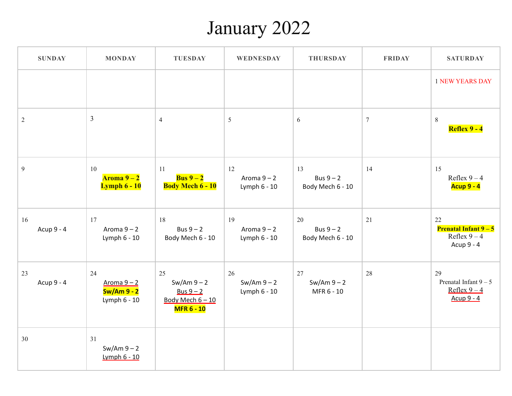### January 2022

| <b>SUNDAY</b>    | <b>MONDAY</b>                                             | <b>TUESDAY</b>                                                                | <b>WEDNESDAY</b>                    | <b>THURSDAY</b>                       | <b>FRIDAY</b> | <b>SATURDAY</b>                                                             |
|------------------|-----------------------------------------------------------|-------------------------------------------------------------------------------|-------------------------------------|---------------------------------------|---------------|-----------------------------------------------------------------------------|
|                  |                                                           |                                                                               |                                     |                                       |               | <b>1 NEW YEARS DAY</b>                                                      |
| $\overline{2}$   | $\overline{3}$                                            | $\overline{4}$                                                                | $5\overline{)}$                     | 6                                     | $\tau$        | $8\phantom{.}$<br><b>Reflex 9 - 4</b>                                       |
| $\overline{9}$   | 10<br>Aroma 9 – 2<br><b>Lymph 6 - 10</b>                  | 11<br><b>Bus</b> $9-2$<br><b>Body Mech 6 - 10</b>                             | 12<br>Aroma $9 - 2$<br>Lymph 6 - 10 | 13<br>Bus $9 - 2$<br>Body Mech 6 - 10 | 14            | 15<br>Reflex $9-4$<br><b>Acup 9 - 4</b>                                     |
| 16<br>Acup 9 - 4 | 17<br>Aroma $9 - 2$<br>Lymph 6 - 10                       | 18<br>Bus $9 - 2$<br>Body Mech 6 - 10                                         | 19<br>Aroma $9 - 2$<br>Lymph 6 - 10 | 20<br>Bus $9 - 2$<br>Body Mech 6 - 10 | 21            | 22<br><b>Prenatal Infant <math>9-5</math></b><br>Reflex $9-4$<br>Acup 9 - 4 |
| 23<br>Acup 9 - 4 | 24<br>Aroma $9 - 2$<br><b>Sw/Am 9 - 2</b><br>Lymph 6 - 10 | 25<br>$Sw/Am 9 - 2$<br>Bus $9 - 2$<br>Body Mech $6 - 10$<br><b>MFR 6 - 10</b> | 26<br>$Sw/Am 9 - 2$<br>Lymph 6 - 10 | 27<br>$Sw/Am 9 - 2$<br>MFR 6 - 10     | 28            | 29<br>Prenatal Infant $9-5$<br>Reflex $9-4$<br>Acup $9 - 4$                 |
| 30               | 31<br>$Sw/Am 9 - 2$<br><b>Lymph 6 - 10</b>                |                                                                               |                                     |                                       |               |                                                                             |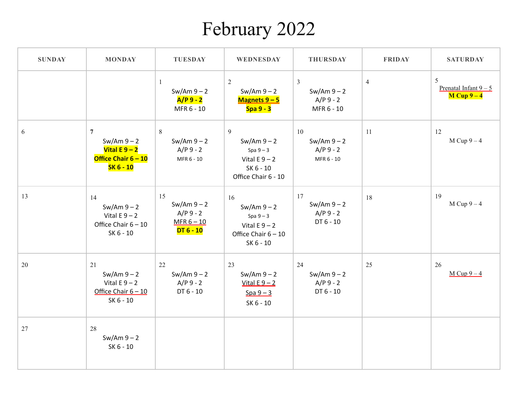### February 2022

| <b>SUNDAY</b> | <b>MONDAY</b>                                                                                   | <b>TUESDAY</b>                                                   | <b>WEDNESDAY</b>                                                                         | <b>THURSDAY</b>                                              | <b>FRIDAY</b>  | <b>SATURDAY</b>                               |
|---------------|-------------------------------------------------------------------------------------------------|------------------------------------------------------------------|------------------------------------------------------------------------------------------|--------------------------------------------------------------|----------------|-----------------------------------------------|
|               |                                                                                                 | $\mathbf{1}$<br>$Sw/Am 9 - 2$<br>$A/P9-2$<br>MFR 6 - 10          | $\overline{2}$<br>$Sw/Am 9 - 2$<br>Magnets 9 - 5<br>Spa 9 - 3                            | $\mathfrak{Z}$<br>$Sw/Am 9 - 2$<br>$A/P$ 9 - 2<br>MFR 6 - 10 | $\overline{4}$ | 5<br>Prenatal Infant $9 - 5$<br>$M$ Cup $9-4$ |
| 6             | $\overline{7}$<br>$Sw/Am 9 - 2$<br>Vital E $9 - 2$<br>Office Chair $6 - 10$<br><b>SK 6 - 10</b> | 8<br>$Sw/Am 9 - 2$<br>$A/P9 - 2$<br>MFR 6 - 10                   | 9<br>$Sw/Am 9 - 2$<br>Spa $9-3$<br>Vital $E9 - 2$<br>SK 6 - 10<br>Office Chair 6 - 10    | 10<br>$Sw/Am 9 - 2$<br>$A/P9 - 2$<br>MFR 6 - 10              | 11             | 12<br>$M$ Cup $9-4$                           |
| 13            | 14<br>$Sw/Am 9 - 2$<br>Vital $E9 - 2$<br>Office Chair $6 - 10$<br>SK 6 - 10                     | 15<br>$Sw/Am 9 - 2$<br>$A/P9 - 2$<br>$MFR 6 - 10$<br>$DT 6 - 10$ | 16<br>$Sw/Am 9 - 2$<br>Spa $9-3$<br>Vital $E9 - 2$<br>Office Chair $6 - 10$<br>SK 6 - 10 | 17<br>$Sw/Am 9 - 2$<br>$A/P9 - 2$<br>DT 6 - 10               | 18             | 19<br>$M$ Cup $9-4$                           |
| 20            | 21<br>$Sw/Am 9 - 2$<br>Vital $E9 - 2$<br>Office Chair $6 - 10$<br>SK 6 - 10                     | 22<br>$Sw/Am 9 - 2$<br>$A/P9 - 2$<br>DT 6 - 10                   | 23<br>$Sw/Am 9 - 2$<br>Vital $E$ 9 - 2<br>$Spa 9 - 3$<br>SK 6 - 10                       | 24<br>$Sw/Am 9 - 2$<br>$A/P9 - 2$<br>DT 6 - 10               | 25             | 26<br>$M$ Cup $9-4$                           |
| 27            | 28<br>$Sw/Am 9 - 2$<br>SK 6 - 10                                                                |                                                                  |                                                                                          |                                                              |                |                                               |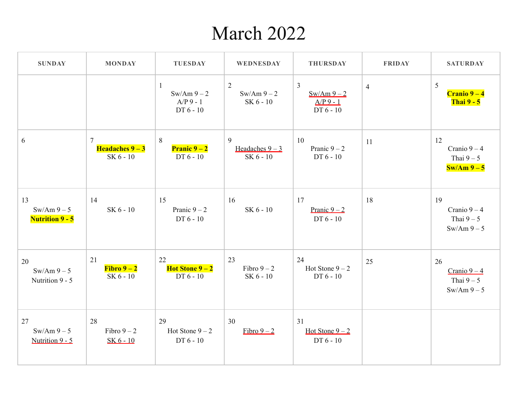#### March 2022

| <b>SUNDAY</b>                              | <b>MONDAY</b>                                                    | <b>TUESDAY</b>                                            | WEDNESDAY                           | <b>THURSDAY</b>                                            | <b>FRIDAY</b>  | <b>SATURDAY</b>                                |
|--------------------------------------------|------------------------------------------------------------------|-----------------------------------------------------------|-------------------------------------|------------------------------------------------------------|----------------|------------------------------------------------|
|                                            |                                                                  | $\mathbf{1}$<br>$Sw/Am 9 - 2$<br>$A/P$ 9 - 1<br>DT 6 - 10 | 2<br>$Sw/Am 9 - 2$<br>SK 6 - 10     | $\overline{3}$<br>$Sw/Am9-2$<br>$A/P$ 9 - 1<br>$DT 6 - 10$ | $\overline{4}$ | 5<br>$Cranio 9-4$<br><b>Thai 9 - 5</b>         |
| 6                                          | $\overline{7}$<br><b>Headaches <math>9-3</math></b><br>SK 6 - 10 | 8<br><b>Pranic <math>9-2</math></b><br>DT 6 - 10          | 9<br>Headaches $9 - 3$<br>SK 6 - 10 | 10<br>Pranic $9-2$<br>DT 6 - 10                            | 11             | 12<br>Cranio $9-4$<br>Thai $9-5$<br>$Sw/Am9-5$ |
| 13<br>$Sw/Am9-5$<br><b>Nutrition 9 - 5</b> | 14<br>SK 6 - 10                                                  | 15<br>Pranic $9 - 2$<br>DT 6 - 10                         | 16<br>SK 6 - 10                     | 17<br>Pranic $9-2$<br>DT 6 - 10                            | 18             | 19<br>Cranio $9-4$<br>Thai $9-5$<br>$Sw/Am9-5$ |
| 20<br>$Sw/Am9-5$<br>Nutrition 9 - 5        | 21<br>$Fibro 9-2$<br>SK 6 - 10                                   | 22<br><b>Hot Stone <math>9-2</math></b><br>DT 6 - 10      | 23<br>Fibro $9-2$<br>SK 6 - 10      | 24<br>Hot Stone $9-2$<br>DT 6 - 10                         | 25             | 26<br>Cranio $9-4$<br>Thai $9-5$<br>$Sw/Am9-5$ |
| 27<br>$Sw/Am 9-5$<br>Nutrition 9 - 5       | 28<br>Fibro $9-2$<br>$SK 6 - 10$                                 | 29<br>Hot Stone $9-2$<br>$DT6-10$                         | 30<br>Fibro $9-2$                   | 31<br>Hot Stone $9-2$<br>DT 6 - 10                         |                |                                                |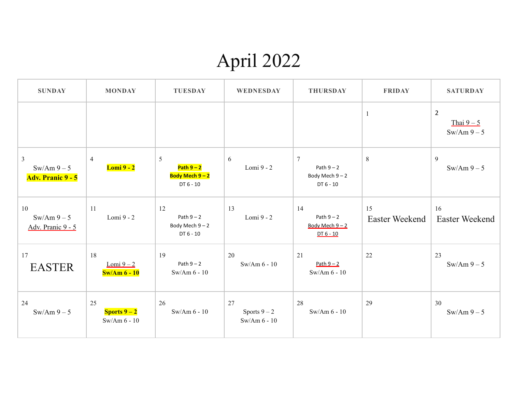# April 2022

| <b>SUNDAY</b>                                             | <b>MONDAY</b>                                        | <b>TUESDAY</b>                                       | WEDNESDAY                            | <b>THURSDAY</b>                                                 | <b>FRIDAY</b>        | <b>SATURDAY</b>                            |
|-----------------------------------------------------------|------------------------------------------------------|------------------------------------------------------|--------------------------------------|-----------------------------------------------------------------|----------------------|--------------------------------------------|
|                                                           |                                                      |                                                      |                                      |                                                                 | $\mathbf{1}$         | $\overline{2}$<br>Thai $9-5$<br>$Sw/Am9-5$ |
| $\overline{3}$<br>$Sw/Am 9-5$<br><b>Adv. Pranic 9 - 5</b> | $\overline{4}$<br><b>Lomi 9 - 2</b>                  | 5<br>Path $9-2$<br>Body Mech 9-2<br>DT 6 - 10        | 6<br>Lomi 9 - 2                      | $7\phantom{.0}$<br>Path $9-2$<br>Body Mech $9 - 2$<br>DT 6 - 10 | $\,8\,$              | 9<br>$Sw/Am 9-5$                           |
| 10<br>$Sw/Am9-5$<br>Adv. Pranic 9 - 5                     | 11<br>Lomi 9 - 2                                     | 12<br>Path $9 - 2$<br>Body Mech $9 - 2$<br>DT 6 - 10 | 13<br>Lomi 9 - 2                     | 14<br>Path $9 - 2$<br>Body Mech $9 - 2$<br>$DT 6 - 10$          | 15<br>Easter Weekend | 16<br>Easter Weekend                       |
| 17<br><b>EASTER</b>                                       | 18<br>Lomi $9-2$<br>$\text{Sw/Am}$ 6 - 10            | 19<br>Path $9-2$<br>$Sw/Am 6 - 10$                   | 20<br>$Sw/Am 6 - 10$                 | 21<br>Path $9 - 2$<br>$Sw/Am 6 - 10$                            | 22                   | 23<br>$Sw/Am 9-5$                          |
| 24<br>$Sw/Am9-5$                                          | 25<br><b>Sports <math>9-2</math></b><br>Sw/Am 6 - 10 | 26<br>Sw/Am $6 - 10$                                 | 27<br>Sports $9-2$<br>$Sw/Am 6 - 10$ | 28<br>Sw/Am $6 - 10$                                            | 29                   | 30<br>$Sw/Am 9-5$                          |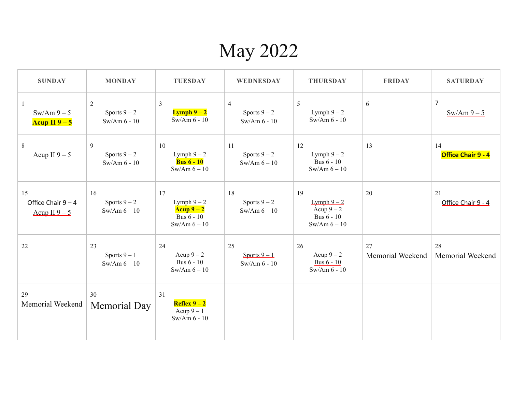#### May 2022

| <b>SUNDAY</b>                               | <b>MONDAY</b>                        | <b>TUESDAY</b>                                                  | WEDNESDAY                                        | <b>THURSDAY</b>                                                 | <b>FRIDAY</b>          | <b>SATURDAY</b>              |
|---------------------------------------------|--------------------------------------|-----------------------------------------------------------------|--------------------------------------------------|-----------------------------------------------------------------|------------------------|------------------------------|
| $\mathbf{1}$<br>$Sw/Am9-5$<br>Acup II $9-5$ | 2<br>Sports $9-2$<br>Sw/Am $6 - 10$  | $\overline{3}$<br><b>Lymph</b> $9 - 2$<br>$Sw/Am 6 - 10$        | $\overline{4}$<br>Sports $9-2$<br>Sw/Am $6 - 10$ | 5<br>Lymph $9-2$<br>Sw/Am $6 - 10$                              | 6                      | $\overline{7}$<br>$Sw/Am9-5$ |
| 8<br>Acup II $9-5$                          | 9<br>Sports $9-2$<br>Sw/Am $6 - 10$  | 10<br>Lymph $9-2$<br><b>Bus 6 - 10</b><br>$Sw/Am 6 - 10$        | 11<br>Sports $9-2$<br>$Sw/Am 6 - 10$             | 12<br>Lymph $9-2$<br><b>Bus 6 - 10</b><br>$Sw/Am 6 - 10$        | 13                     | 14<br>Office Chair 9 - 4     |
| 15<br>Office Chair $9 - 4$<br>Acup II $9-5$ | 16<br>Sports $9-2$<br>$Sw/Am 6 - 10$ | 17<br>Lymph $9-2$<br>Acup $9-2$<br>Bus 6 - 10<br>$Sw/Am 6 - 10$ | 18<br>Sports $9-2$<br>$Sw/Am 6 - 10$             | 19<br>Lymph $9-2$<br>Acup $9-2$<br>Bus 6 - 10<br>$Sw/Am 6 - 10$ | 20                     | 21<br>Office Chair 9 - 4     |
| 22                                          | 23<br>Sports $9-1$<br>$Sw/Am 6 - 10$ | 24<br>Acup $9-2$<br>Bus 6 - 10<br>$Sw/Am 6 - 10$                | 25<br>Sports $9-1$<br>$Sw/Am 6 - 10$             | 26<br>Acup $9-2$<br><b>Bus 6 - 10</b><br>$Sw/Am 6 - 10$         | 27<br>Memorial Weekend | 28<br>Memorial Weekend       |
| 29<br>Memorial Weekend                      | 30<br>Memorial Day                   | 31<br>Reflex $9-2$<br>Acup $9-1$<br>$Sw/Am 6 - 10$              |                                                  |                                                                 |                        |                              |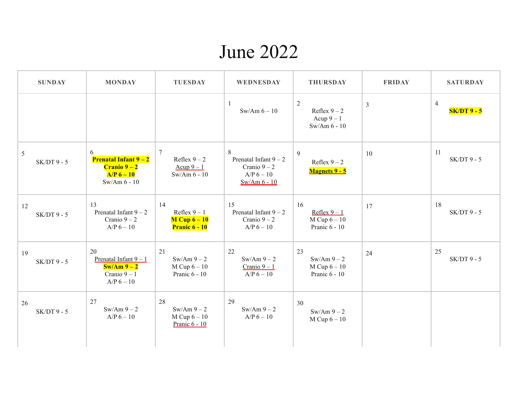#### June 2022

| <b>SUNDAY</b>       | <b>MONDAY</b>                                                                                  | <b>TUESDAY</b>                                                   | <b>WEDNESDAY</b>                                                             | <b>THURSDAY</b>                                           | <b>FRIDAY</b>  | <b>SATURDAY</b>              |
|---------------------|------------------------------------------------------------------------------------------------|------------------------------------------------------------------|------------------------------------------------------------------------------|-----------------------------------------------------------|----------------|------------------------------|
|                     |                                                                                                |                                                                  | -1<br>$Sw/Am 6 - 10$                                                         | 2<br>Reflex $9-2$<br>Acup $9-1$<br>$Sw/Am 6 - 10$         | $\mathfrak{Z}$ | $\overline{4}$<br>$SK/DT9-5$ |
| 5<br>$SK/DT9 - 5$   | 6<br><b>Prenatal Infant <math>9-2</math></b><br>$Cranio 9-2$<br>$A/P 6 - 10$<br>$Sw/Am 6 - 10$ | $7\phantom{.0}$<br>Reflex $9-2$<br>Acup $9-1$<br>$Sw/Am 6 - 10$  | 8<br>Prenatal Infant $9 - 2$<br>Cranio $9-2$<br>$A/P$ 6 – 10<br>Sw/Am 6 - 10 | 9<br>Reflex $9-2$<br><b>Magnets 9 - 5</b>                 | 10             | 11<br>$SK/DT9 - 5$           |
| 12<br>$SK/DT$ 9 - 5 | 13<br>Prenatal Infant $9 - 2$<br>Cranio $9 - 2$<br>$A/P$ 6 – 10                                | 14<br>Reflex $9 - 1$<br>$M$ Cup $6 - 10$<br><b>Pranic 6 - 10</b> | 15<br>Prenatal Infant $9 - 2$<br>Cranio $9-2$<br>$A/P$ 6 – 10                | 16<br>Reflex $9-1$<br>$M$ Cup $6 - 10$<br>Pranic $6 - 10$ | 17             | 18<br>$SK/DT9 - 5$           |
| 19<br>$SK/DT9 - 5$  | 20<br>Prenatal Infant $9 - 1$<br>$\text{Sw/Am } 9 - 2$<br>Cranio $9 - 1$<br>$A/P$ 6 - 10       | 21<br>$Sw/Am 9 - 2$<br>$M$ Cup $6 - 10$<br>Pranic 6 - 10         | 22<br>$Sw/Am 9 - 2$<br>Cranio $9 - 1$<br>$A/P$ 6 – 10                        | 23<br>$Sw/Am 9 - 2$<br>$M$ Cup $6 - 10$<br>Pranic 6 - 10  | 24             | 25<br>$SK/DT9 - 5$           |
| 26<br>$SK/DT9 - 5$  | 27<br>$Sw/Am 9 - 2$<br>$A/P$ 6 – 10                                                            | 28<br>$Sw/Am 9 - 2$<br>$M$ Cup $6 - 10$<br>Pranic 6 - 10         | 29<br>$Sw/Am 9 - 2$<br>$A/P$ 6 – 10                                          | 30<br>$Sw/Am 9 - 2$<br>$M$ Cup $6 - 10$                   |                |                              |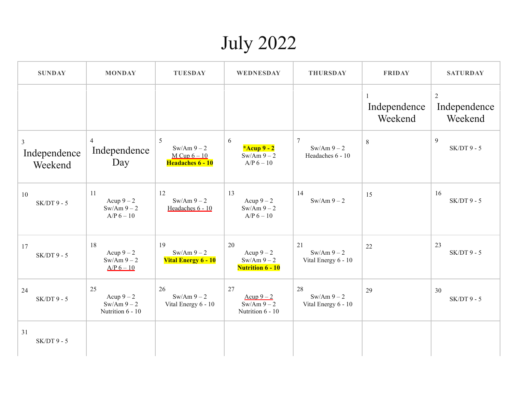## July 2022

| <b>SUNDAY</b>                             | <b>MONDAY</b>                                         | <b>TUESDAY</b>                                             | WEDNESDAY                                                    | <b>THURSDAY</b>                             | <b>FRIDAY</b>           | <b>SATURDAY</b>                           |
|-------------------------------------------|-------------------------------------------------------|------------------------------------------------------------|--------------------------------------------------------------|---------------------------------------------|-------------------------|-------------------------------------------|
|                                           |                                                       |                                                            |                                                              |                                             | Independence<br>Weekend | $\overline{2}$<br>Independence<br>Weekend |
| $\mathfrak{Z}$<br>Independence<br>Weekend | 4<br>Independence<br>Day                              | 5<br>$Sw/Am 9 - 2$<br>$M$ Cup $6 - 10$<br>Headaches 6 - 10 | 6<br>*Acup $9 - 2$<br>$Sw/Am 9 - 2$<br>$A/P$ 6 – 10          | $\tau$<br>$Sw/Am 9 - 2$<br>Headaches 6 - 10 | $\,8\,$                 | 9<br>$SK/DT9 - 5$                         |
| 10<br>$SK/DT9 - 5$                        | 11<br>Acup $9-2$<br>$Sw/Am 9 - 2$<br>$A/P$ 6 – 10     | 12<br>$Sw/Am 9 - 2$<br>Headaches 6 - 10                    | 13<br>Acup $9-2$<br>$Sw/Am 9 - 2$<br>$A/P$ 6 – 10            | 14<br>$Sw/Am 9 - 2$                         | 15                      | 16<br>$SK/DT9 - 5$                        |
| 17<br>$SK/DT9 - 5$                        | 18<br>Acup $9-2$<br>$Sw/Am 9 - 2$<br>$A/P$ 6 – 10     | 19<br>$Sw/Am9-2$<br><b>Vital Energy 6 - 10</b>             | 20<br>Acup $9-2$<br>$Sw/Am 9 - 2$<br><b>Nutrition 6 - 10</b> | 21<br>$Sw/Am 9 - 2$<br>Vital Energy 6 - 10  | 22                      | 23<br>$SK/DT9 - 5$                        |
| 24<br>$SK/DT9 - 5$                        | 25<br>Acup $9-2$<br>$Sw/Am 9 - 2$<br>Nutrition 6 - 10 | 26<br>$Sw/Am 9 - 2$<br>Vital Energy 6 - 10                 | 27<br>Acup $9-2$<br>$\sqrt{\frac{1}{2}}$<br>Nutrition 6 - 10 | 28<br>$Sw/Am 9 - 2$<br>Vital Energy 6 - 10  | 29                      | 30<br>$SK/DT9 - 5$                        |
| 31<br>$SK/DT9 - 5$                        |                                                       |                                                            |                                                              |                                             |                         |                                           |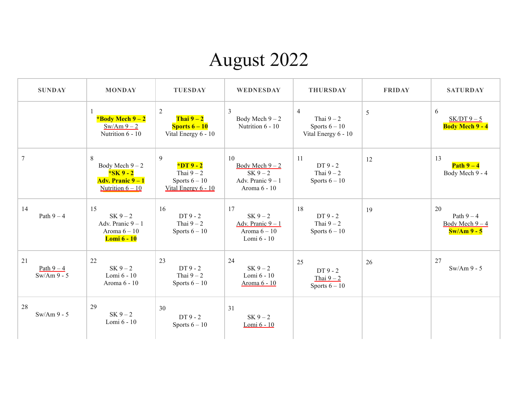## August 2022

| <b>SUNDAY</b>                    | <b>MONDAY</b>                                                                 | <b>TUESDAY</b>                                                                         | WEDNESDAY                                                                  | <b>THURSDAY</b>                                                        | <b>FRIDAY</b> | <b>SATURDAY</b>                                   |
|----------------------------------|-------------------------------------------------------------------------------|----------------------------------------------------------------------------------------|----------------------------------------------------------------------------|------------------------------------------------------------------------|---------------|---------------------------------------------------|
|                                  | *Body Mech $9-2$<br>$Sw/Am9-2$<br>Nutrition 6 - 10                            | $\mathbf{2}$<br>Thai $9-2$<br><b>Sports <math>6 - 10</math></b><br>Vital Energy 6 - 10 | $\overline{3}$<br>Body Mech $9-2$<br>Nutrition 6 - 10                      | $\overline{4}$<br>Thai $9-2$<br>Sports $6 - 10$<br>Vital Energy 6 - 10 | 5             | 6<br>$SK/DT9-5$<br><b>Body Mech 9 - 4</b>         |
| $\tau$                           | 8<br>Body Mech $9-2$<br>$*SK9-2$<br>Adv. Pranic 9 – 1<br>Nutrition $6 - 10$   | 9<br>$*DT9-2$<br>Thai $9-2$<br>Sports $6 - 10$<br>Vital Energy 6 - 10                  | 10<br>Body Mech $9-2$<br>$SK 9 - 2$<br>Adv. Pranic $9 - 1$<br>Aroma 6 - 10 | 11<br>$DT9-2$<br>Thai $9-2$<br>Sports $6 - 10$                         | 12            | 13<br>Path $9-4$<br>Body Mech 9 - 4               |
| 14<br>Path $9-4$                 | 15<br>$SK 9 - 2$<br>Adv. Pranic $9 - 1$<br>Aroma $6-10$<br><b>Lomi 6 - 10</b> | 16<br>$DT9-2$<br>Thai $9-2$<br>Sports $6 - 10$                                         | 17<br>$SK 9 - 2$<br>Adv. Pranic $9 - 1$<br>Aroma $6-10$<br>Lomi 6 - 10     | 18<br>$DT9-2$<br>Thai $9-2$<br>Sports $6 - 10$                         | 19            | 20<br>Path $9-4$<br>Body Mech $9-4$<br>$Sw/Am9-5$ |
| 21<br>Path $9-4$<br>$Sw/Am9 - 5$ | 22<br>$SK 9 - 2$<br>Lomi 6 - 10<br>Aroma 6 - 10                               | 23<br>$DT9-2$<br>Thai $9-2$<br>Sports $6 - 10$                                         | 24<br>$SK 9 - 2$<br>Lomi 6 - 10<br>Aroma 6 - 10                            | 25<br>$DT9-2$<br>Thai $9 - 2$<br>Sports $6 - 10$                       | 26            | 27<br>$Sw/Am9 - 5$                                |
| 28<br>$Sw/Am9 - 5$               | 29<br>$SK 9 - 2$<br>Lomi 6 - 10                                               | 30<br>$DT9-2$<br>Sports $6-10$                                                         | 31<br>$SK 9 - 2$<br>Lomi 6 - 10                                            |                                                                        |               |                                                   |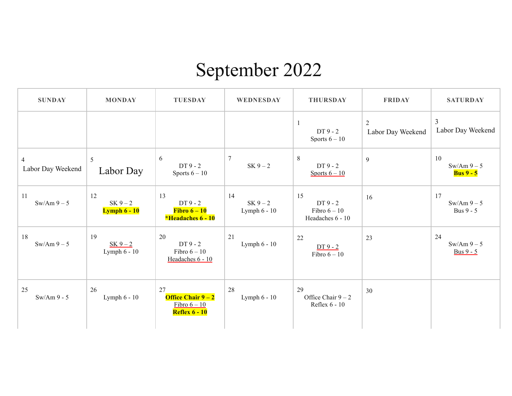### September 2022

| <b>SUNDAY</b>                       | <b>MONDAY</b>                           | <b>TUESDAY</b>                                                     | WEDNESDAY                          | <b>THURSDAY</b>                                   | <b>FRIDAY</b>                       | <b>SATURDAY</b>                      |
|-------------------------------------|-----------------------------------------|--------------------------------------------------------------------|------------------------------------|---------------------------------------------------|-------------------------------------|--------------------------------------|
|                                     |                                         |                                                                    |                                    | -1<br>$DT9-2$<br>Sports $6-10$                    | $\overline{2}$<br>Labor Day Weekend | $\mathfrak{Z}$<br>Labor Day Weekend  |
| $\overline{4}$<br>Labor Day Weekend | 5<br>Labor Day                          | 6<br>DT 9 - 2<br>Sports $6 - 10$                                   | $\tau$<br>$SK 9 - 2$               | $8\phantom{.}$<br>$DT9-2$<br>Sports $6 - 10$      | 9                                   | 10<br>$Sw/Am9-5$<br><b>Bus 9 - 5</b> |
| 11<br>$Sw/Am9-5$                    | 12<br>$SK 9 - 2$<br><b>Lymph 6 - 10</b> | 13<br>DT 9 - 2<br>Fibro $6-10$<br>*Headaches 6 - 10                | 14<br>$SK 9 - 2$<br>Lymph $6 - 10$ | 15<br>$DT9-2$<br>Fibro $6-10$<br>Headaches 6 - 10 | 16                                  | 17<br>$Sw/Am9-5$<br><b>Bus 9 - 5</b> |
| 18<br>$Sw/Am9-5$                    | 19<br>$SK 9 - 2$<br>Lymph 6 - 10        | 20<br>$DT9-2$<br>Fibro $6-10$<br>Headaches 6 - 10                  | 21<br>Lymph $6 - 10$               | 22<br>$DT9-2$<br>Fibro $6-10$                     | 23                                  | 24<br>$Sw/Am9-5$<br><b>Bus 9 - 5</b> |
| 25<br>$Sw/Am9 - 5$                  | 26<br>Lymph 6 - 10                      | 27<br>Office Chair $9-2$<br>Fibro $6 - 10$<br><b>Reflex 6 - 10</b> | 28<br>Lymph $6 - 10$               | 29<br>Office Chair $9 - 2$<br>Reflex 6 - 10       | 30                                  |                                      |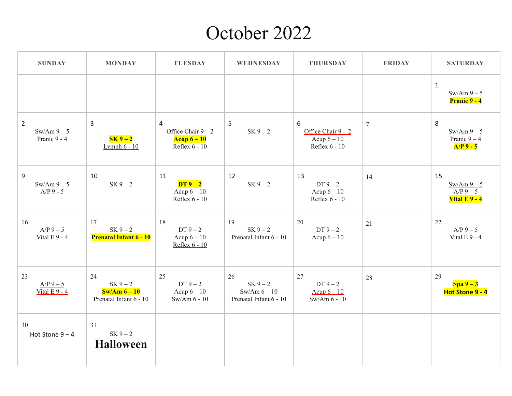#### October 2022

| <b>SUNDAY</b>                                | <b>MONDAY</b>                                                    | <b>TUESDAY</b>                                                           | <b>WEDNESDAY</b>                                             | <b>THURSDAY</b>                                           | <b>FRIDAY</b> | <b>SATURDAY</b>                                         |
|----------------------------------------------|------------------------------------------------------------------|--------------------------------------------------------------------------|--------------------------------------------------------------|-----------------------------------------------------------|---------------|---------------------------------------------------------|
|                                              |                                                                  |                                                                          |                                                              |                                                           |               | $\mathbf{1}$<br>$Sw/Am9-5$<br><b>Pranic 9 - 4</b>       |
| $\overline{2}$<br>$Sw/Am9-5$<br>Pranic 9 - 4 | $\overline{3}$<br>$SK 9 - 2$<br><b>Lymph 6 - 10</b>              | $\overline{4}$<br>Office Chair $9 - 2$<br>Acup $6 - 10$<br>Reflex 6 - 10 | 5<br>$SK 9 - 2$                                              | 6<br>Office Chair $9 - 2$<br>Acup $6-10$<br>Reflex 6 - 10 | $\tau$        | 8<br>$Sw/Am9-5$<br>Pranic $9-4$<br>$A/P$ 9 - 5          |
| 9<br>$Sw/Am9-5$<br>$A/P$ 9 - 5               | 10<br>$SK 9 - 2$                                                 | 11<br>$DT9-2$<br>Acup $6-10$<br>Reflex 6 - 10                            | 12<br>$SK 9 - 2$                                             | 13<br>$DT 9 - 2$<br>Acup $6-10$<br>Reflex 6 - 10          | 14            | 15<br>$Sw/Am9-5$<br>$A/P$ 9 – 5<br><b>Vital E 9 - 4</b> |
| 16<br>$A/P$ 9 – 5<br>Vital $E$ 9 - 4         | 17<br>$SK 9 - 2$<br><b>Prenatal Infant 6 - 10</b>                | 18<br>DT $9-2$<br>Acup $6-10$<br>Reflex 6 - 10                           | 19<br>$SK 9 - 2$<br>Prenatal Infant 6 - 10                   | 20<br>DT $9-2$<br>Acup $6-10$                             | 21            | 22<br>$A/P$ 9 – 5<br>Vital $E$ 9 - 4                    |
| 23<br>$A/P$ 9 – 5<br>Vital $E$ 9 - 4         | 24<br>$SK 9 - 2$<br>$\text{Sw/Am}6-10$<br>Prenatal Infant 6 - 10 | 25<br>DT $9-2$<br>Acup $6-10$<br>$Sw/Am 6 - 10$                          | 26<br>$SK 9 - 2$<br>$Sw/Am 6 - 10$<br>Prenatal Infant 6 - 10 | 27<br>$DT9-2$<br>Acup $6 - 10$<br>$Sw/Am 6 - 10$          | 28            | 29<br>$Spa 9-3$<br>Hot Stone 9 - 4                      |
| 30<br>Hot Stone $9-4$                        | 31<br>$SK 9 - 2$<br><b>Halloween</b>                             |                                                                          |                                                              |                                                           |               |                                                         |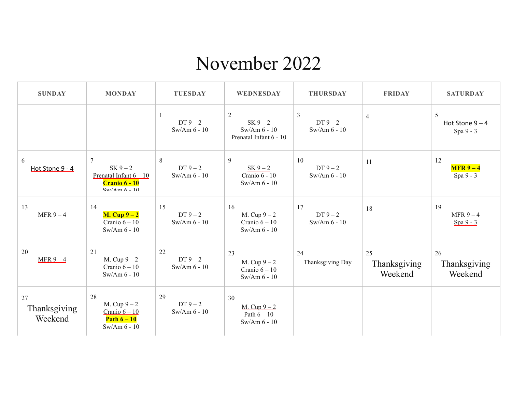#### November 2022

| <b>SUNDAY</b>                 | <b>MONDAY</b>                                                                                                        | <b>TUESDAY</b>                       | <b>WEDNESDAY</b>                                                         | <b>THURSDAY</b>                 | <b>FRIDAY</b>                 | <b>SATURDAY</b>                   |
|-------------------------------|----------------------------------------------------------------------------------------------------------------------|--------------------------------------|--------------------------------------------------------------------------|---------------------------------|-------------------------------|-----------------------------------|
|                               |                                                                                                                      | 1<br>DT $9-2$<br>$Sw/Am 6 - 10$      | $\overline{2}$<br>$SK 9 - 2$<br>$Sw/Am 6 - 10$<br>Prenatal Infant 6 - 10 | 3<br>$DT9-2$<br>Sw/Am $6 - 10$  | $\overline{4}$                | 5<br>Hot Stone $9-4$<br>Spa 9 - 3 |
| 6<br>Hot Stone 9 - 4          | 7<br>$SK 9 - 2$<br>Prenatal Infant $6 - 10$<br><b>Cranio 6 - 10</b><br>$\frac{\text{S}_{\text{W}}}{\Delta m}$ 6 - 10 | $\,8\,$<br>$DT9-2$<br>$Sw/Am 6 - 10$ | 9<br>$SK 9 - 2$<br>Cranio 6 - 10<br>Sw/Am $6 - 10$                       | 10<br>$DT9-2$<br>$Sw/Am 6 - 10$ | 11                            | 12<br>$MFR 9 - 4$<br>Spa 9 - 3    |
| 13<br>MFR $9-4$               | 14<br>$M.$ Cup $9-2$<br>Cranio $6-10$<br>Sw/Am $6 - 10$                                                              | 15<br>DT $9-2$<br>$Sw/Am 6 - 10$     | 16<br>M. Cup $9-2$<br>Cranio $6 - 10$<br>$Sw/Am 6 - 10$                  | 17<br>$DT9-2$<br>$Sw/Am 6 - 10$ | 18                            | 19<br>MFR $9-4$<br>Spa 9 - 3      |
| 20<br>$MFR 9 - 4$             | 21<br>M. Cup $9-2$<br>Cranio $6 - 10$<br>$Sw/Am 6 - 10$                                                              | 22<br>DT $9-2$<br>Sw/Am $6 - 10$     | 23<br>M. Cup $9-2$<br>Cranio $6 - 10$<br>Sw/Am $6 - 10$                  | 24<br>Thanksgiving Day          | 25<br>Thanksgiving<br>Weekend | 26<br>Thanksgiving<br>Weekend     |
| 27<br>Thanksgiving<br>Weekend | 28<br>M. Cup $9-2$<br>Cranio $6 - 10$<br>Path $6-10$<br>Sw/Am 6 - 10                                                 | 29<br>DT $9-2$<br>$Sw/Am 6 - 10$     | 30<br>M. Cup $9-2$<br>Path $6-10$<br>$Sw/Am 6 - 10$                      |                                 |                               |                                   |